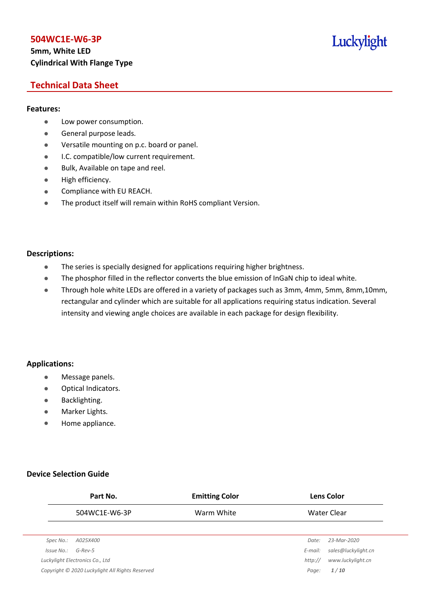## **5mm, White LED Cylindrical With Flange Type**

## Luckylight

## **Technical Data Sheet**

#### **Features:**

- **•** Low power consumption.
- **General purpose leads.**
- Versatile mounting on p.c. board or panel.
- **I.C. compatible/low current requirement.**
- Bulk, Available on tape and reel.
- $\bullet$  High efficiency.
- **•** Compliance with EU REACH.
- The product itself will remain within RoHS compliant Version.

#### **Descriptions:**

- The series is specially designed for applications requiring higher brightness.
- The phosphor filled in the reflector converts the blue emission of InGaN chip to ideal white.
- Through hole white LEDs are offered in a variety of packages such as 3mm, 4mm, 5mm, 8mm,10mm, rectangular and cylinder which are suitable for all applications requiring status indication. Several intensity and viewing angle choices are available in each package for design flexibility.

#### **Applications:**

- **•** Message panels.
- Optical Indicators.
- Backlighting.
- Marker Lights.
- Home appliance.

#### **Device Selection Guide**

|            | Part No.                                        | <b>Emitting Color</b> |         | <b>Lens Color</b>   |
|------------|-------------------------------------------------|-----------------------|---------|---------------------|
|            | 504WC1E-W6-3P                                   | Warm White            |         | Water Clear         |
|            |                                                 |                       |         |                     |
| Spec No.:  | A025X400                                        |                       | Date:   | 23-Mar-2020         |
| Issue No.: | $G$ -Rev-5                                      |                       | E-mail: | sales@luckylight.cn |
|            | Luckylight Electronics Co., Ltd                 |                       | http:// | www.luckylight.cn   |
|            | Copyright © 2020 Luckylight All Rights Reserved |                       | Page:   | 1/10                |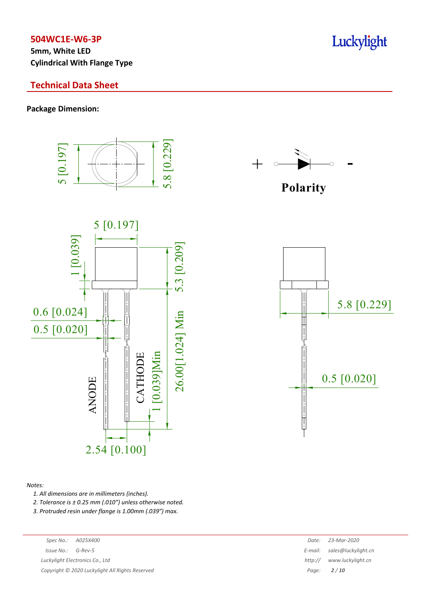**5mm, White LED Cylindrical With Flange Type**

#### **Technical Data Sheet**

**Package Dimension:**



#### *Notes:*

*1. All dimensions are in millimeters (inches).*

*2. Tolerance is ± 0.25 mm (.010″) unless otherwise noted.*

*3. Protruded resin under flange is 1.00mm (.039″) max.*

|  |  |  | Date: 23-Mar-2020 |
|--|--|--|-------------------|
|--|--|--|-------------------|

*Issue No.: G-Rev-5 E-mail: E-mail: Salesman E-mail: Salesman <i>E-mail:**E-mail:**Salesman <b>E-mail:* **Luckylight Electronics** Co., Ltd *htt***,** 

*Copyright © 2020 Luckylight All Rights Reserved Page: 2 / 10*

| $\sim$ $\sim$ $\sim$ | 22.881220 |  |
|----------------------|-----------|--|
|                      |           |  |
|                      |           |  |
|                      |           |  |
|                      |           |  |
|                      |           |  |
|                      |           |  |
|                      |           |  |



![](_page_1_Figure_16.jpeg)

| ate:  | 23-Mar-2020         |
|-------|---------------------|
| rail: | sales@luckylight.cn |
| 0://  | www.luckylight.cn   |
| rge:  | 2/10                |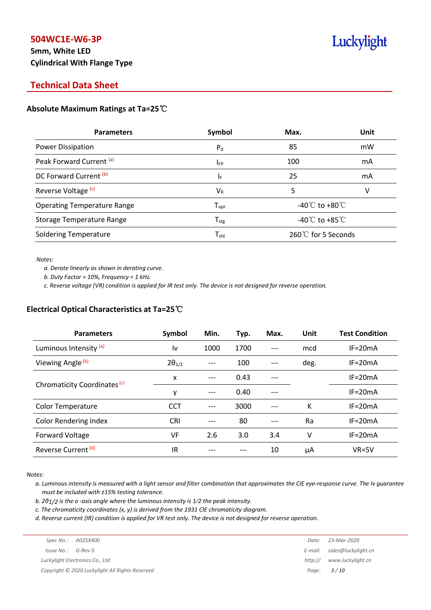## **5mm, White LED Cylindrical With Flange Type**

## Luckylight

## **Technical Data Sheet**

#### **Absolute Maximum Ratings at Ta=25**℃

| <b>Parameters</b>                  | Symbol                       | Max.                                 | Unit |
|------------------------------------|------------------------------|--------------------------------------|------|
| Power Dissipation                  | $P_{d}$                      | 85                                   | mW   |
| Peak Forward Current (a)           | <b>IFP</b>                   | 100                                  | mA   |
| DC Forward Current (b)             | ΙF                           | 25                                   | mA   |
| Reverse Voltage <sup>(c)</sup>     | $V_{R}$                      | 5                                    | v    |
| <b>Operating Temperature Range</b> | ${\mathsf T}_{\textsf{opr}}$ | -40 $^{\circ}$ C to +80 $^{\circ}$ C |      |
| Storage Temperature Range          | ${\sf T}_{\sf stg}$          | -40 $^{\circ}$ C to +85 $^{\circ}$ C |      |
| <b>Soldering Temperature</b>       | ${\mathsf T}_{\textsf{sld}}$ | 260℃ for 5 Seconds                   |      |

*Notes:*

*a. Derate linearly as shown in derating curve.*

*b. Duty Factor = 10%, Frequency = 1 kHz.*

c. Reverse voltage (VR) condition is applied for IR test only. The device is not designed for reverse operation.

#### **Electrical Optical Characteristics at Ta=25**℃

| <b>Parameters</b>                       | Symbol          | Min.  | Typ. | Max. | Unit | <b>Test Condition</b> |
|-----------------------------------------|-----------------|-------|------|------|------|-----------------------|
| Luminous Intensity (a)                  | l٧              | 1000  | 1700 | ---  | mcd  | $IF = 20mA$           |
| Viewing Angle <sup>(b)</sup>            | $2\theta_{1/2}$ |       | 100  |      | deg. | $IF = 20mA$           |
|                                         | X               | $---$ | 0.43 |      |      | $IF = 20mA$           |
| Chromaticity Coordinates <sup>(c)</sup> | y               | ---   | 0.40 |      |      | $IF = 20mA$           |
| <b>Color Temperature</b>                | <b>CCT</b>      | ---   | 3000 |      | K    | $IF = 20mA$           |
| <b>Color Rendering Index</b>            | <b>CRI</b>      |       | 80   |      | Ra   | $IF = 20mA$           |
| Forward Voltage                         | VF              | 2.6   | 3.0  | 3.4  | v    | $IF = 20mA$           |
| Reverse Current <sup>(d)</sup>          | IR              |       |      | 10   | μA   | $VR=5V$               |

*Notes:*

a. Luminous intensity is measured with a light sensor and filter combination that approximates the CIE eye-response curve. The Iv guarantee *must be included with ±15% testing tolerance.*

*b. 2θ1/2 is the o -axis angle where the luminous intensity is 1⁄2 the peak intensity.*

*c. The chromaticity coordinates (x, y) is derived from the 1931 CIE chromaticity diagram.*

d. Reverse current (IR) condition is applied for VR test only. The device is not designed for reverse operation.

|                        |                                                 | Date:   | 23-Mar-2020                 |
|------------------------|-------------------------------------------------|---------|-----------------------------|
| $Is sue No.:  G-Rev-5$ |                                                 |         | E-mail: sales@luckylight.cn |
|                        | Luckylight Electronics Co., Ltd                 | http:// | www.luckylight.cn           |
|                        | Copyright © 2020 Luckylight All Rights Reserved |         | Page: <b>3/10</b>           |
|                        |                                                 |         |                             |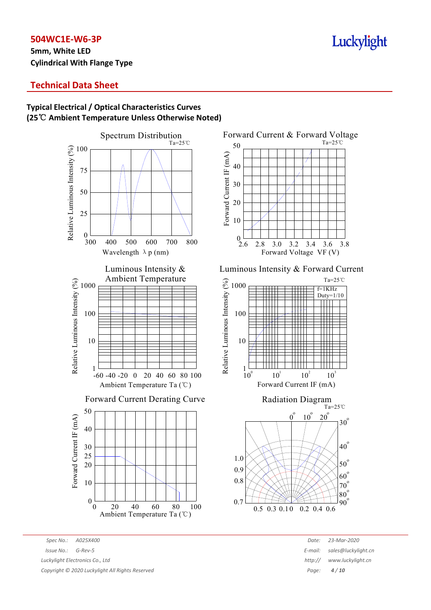**5mm, White LED Cylindrical With Flange Type**

## **Typical Electrical / Optical Characteristics Curves (25**℃ **Ambient Temperature Unless Otherwise Noted)**

![](_page_3_Figure_4.jpeg)

*Spec No.: A025X400 Date: 23-Mar-2020 Issue No.: G-Rev-5 E-mail: sales@luckylight.cn Luckylight Electronics Co., Ltd* 

*Copyright © 2020 Luckylight All Rights Reserved Page: 4 / 10*

![](_page_3_Figure_7.jpeg)

Luminous Intensity & Forward Current

![](_page_3_Figure_9.jpeg)

![](_page_3_Figure_10.jpeg)

| Date:   | 23-Mar-2020         |
|---------|---------------------|
| :-mail: | sales@luckylight.cn |
| http:// | www.luckylight.cn   |
| Page:   | 4/10                |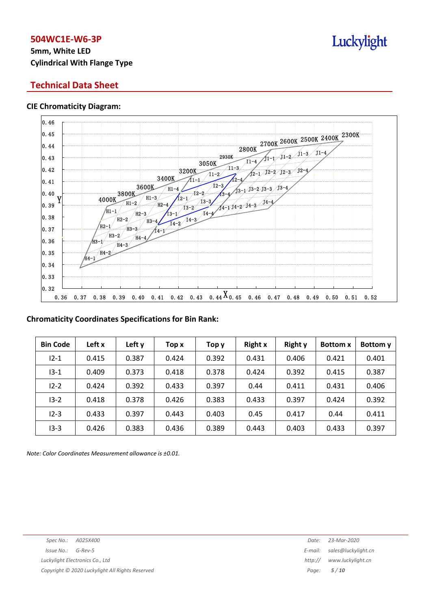## **5mm, White LED Cylindrical With Flange Type**

### **Technical Data Sheet**

#### **CIE Chromaticity Diagram:**

![](_page_4_Figure_4.jpeg)

#### **Chromaticity Coordinates Specifications for Bin Rank:**

| <b>Bin Code</b> | Left x | Left y | Top x | Тор у | <b>Right x</b> | <b>Right y</b> | <b>Bottom x</b> | Bottom y |
|-----------------|--------|--------|-------|-------|----------------|----------------|-----------------|----------|
| $12 - 1$        | 0.415  | 0.387  | 0.424 | 0.392 | 0.431          | 0.406          | 0.421           | 0.401    |
| $13 - 1$        | 0.409  | 0.373  | 0.418 | 0.378 | 0.424          | 0.392          | 0.415           | 0.387    |
| $12 - 2$        | 0.424  | 0.392  | 0.433 | 0.397 | 0.44           | 0.411          | 0.431           | 0.406    |
| $13 - 2$        | 0.418  | 0.378  | 0.426 | 0.383 | 0.433          | 0.397          | 0.424           | 0.392    |
| $12 - 3$        | 0.433  | 0.397  | 0.443 | 0.403 | 0.45           | 0.417          | 0.44            | 0.411    |
| $13 - 3$        | 0.426  | 0.383  | 0.436 | 0.389 | 0.443          | 0.403          | 0.433           | 0.397    |

*Note: Color Coordinates Measurement allowance is ±0.01.*

![](_page_4_Picture_10.jpeg)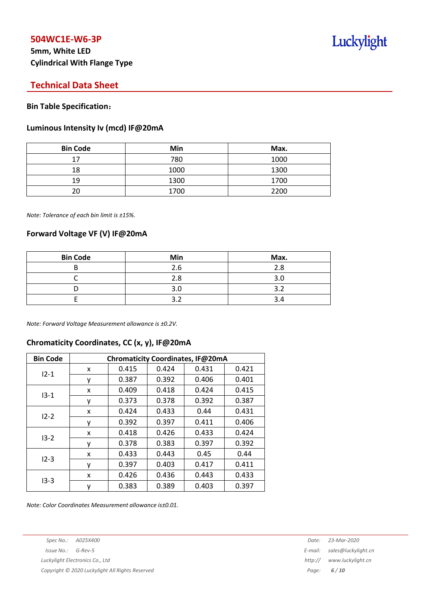## **5mm, White LED Cylindrical With Flange Type**

## Luckylight

## **Technical Data Sheet**

#### **Bin Table Specification**:

#### **Luminous Intensity Iv (mcd) IF@20mA**

| <b>Bin Code</b> | Min  | Max. |
|-----------------|------|------|
| 17              | 780  | 1000 |
| 18              | 1000 | 1300 |
| 19              | 1300 | 1700 |
| ንበ              | 1700 | 2200 |

*Note: Tolerance of each bin limit is ±15%.*

#### **Forward Voltage VF (V) IF@20mA**

| <b>Bin Code</b> | Min | Max. |
|-----------------|-----|------|
|                 | 2.6 | 2.8  |
|                 | 2.8 | 3.0  |
|                 | 3.0 | ∍    |
|                 |     |      |

*Note: Forward Voltage Measurement allowance is ±0.2V.*

## **Chromaticity Coordinates, CC (x, y), IF@20mA**

| <b>Bin Code</b> | Chromaticity Coordinates, IF@20mA |       |       |       |       |  |  |  |
|-----------------|-----------------------------------|-------|-------|-------|-------|--|--|--|
| $12 - 1$        | x                                 | 0.415 | 0.424 | 0.431 | 0.421 |  |  |  |
|                 | ٧                                 | 0.387 | 0.392 | 0.406 | 0.401 |  |  |  |
|                 | x                                 | 0.409 | 0.418 | 0.424 | 0.415 |  |  |  |
| $13 - 1$        | у                                 | 0.373 | 0.378 | 0.392 | 0.387 |  |  |  |
| $12 - 2$        | x                                 | 0.424 | 0.433 | 0.44  | 0.431 |  |  |  |
|                 | У                                 | 0.392 | 0.397 | 0.411 | 0.406 |  |  |  |
| $13 - 2$        | x                                 | 0.418 | 0.426 | 0.433 | 0.424 |  |  |  |
|                 | ٧                                 | 0.378 | 0.383 | 0.397 | 0.392 |  |  |  |
| $12 - 3$        | x                                 | 0.433 | 0.443 | 0.45  | 0.44  |  |  |  |
|                 | ۷                                 | 0.397 | 0.403 | 0.417 | 0.411 |  |  |  |
| $13-3$          | x                                 | 0.426 | 0.436 | 0.443 | 0.433 |  |  |  |
|                 | ٧                                 | 0.383 | 0.389 | 0.403 | 0.397 |  |  |  |

*Note: Color Coordinates Measurement allowance is±0.01.*

*Spec No.: A025X400 Date: 23-Mar-2020*

*Luckylight Electronics Co., Ltd http:// www.luckylight.cn*

*Copyright © 2020 Luckylight All Rights Reserved Page: 6 / 10*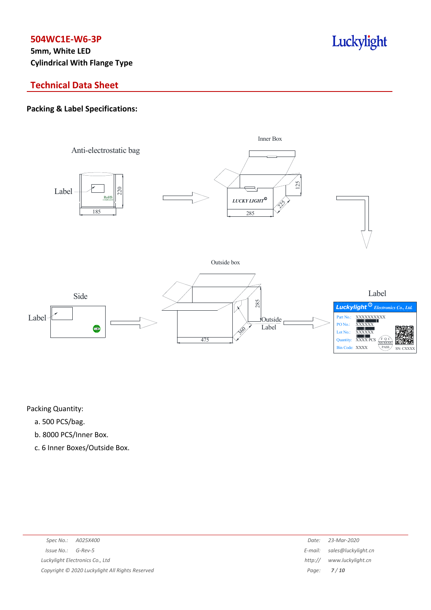**5mm, White LED Cylindrical With Flange Type**

## **Technical Data Sheet**

#### **Packing & Label Specifications:**

![](_page_6_Figure_4.jpeg)

Luckylight

Packing Quantity:

- a. 500 PCS/bag.
- b. 8000 PCS/Inner Box.
- c. 6 Inner Boxes/Outside Box.

| Spec No.:<br>A025X400                           | Date:   | 23-Mar-2020                 |
|-------------------------------------------------|---------|-----------------------------|
| Issue No.:<br>G-Rev-5                           |         | E-mail: sales@luckylight.cn |
| Luckylight Electronics Co., Ltd                 | http:// | www.luckylight.cn           |
| Copyright © 2020 Luckylight All Rights Reserved |         | Page: $7/10$                |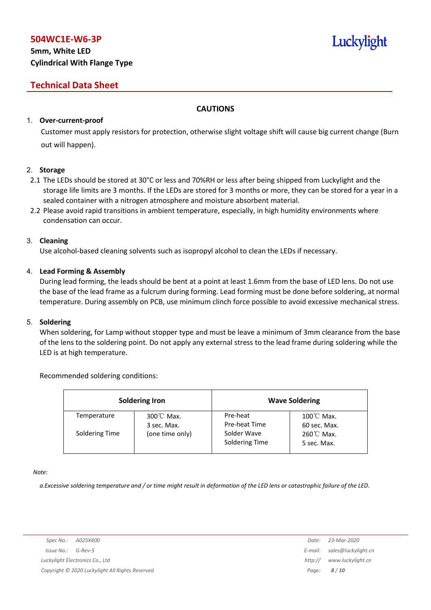## **5mm, White LED Cylindrical With Flange Type**

## **Technical Data Sheet**

#### **CAUTIONS**

#### 1. **Over-current-proof**

Customer must apply resistors for protection, otherwise slight voltage shift will cause big current change (Burn out will happen).

#### 2. **Storage**

- 2.1 The LEDs should be stored at 30°C or less and 70%RH or less after being shipped from Luckylight and the storage life limits are 3 months. If the LEDs are stored for 3 months or more, they can be stored for a year in a sealed container with a nitrogen atmosphere and moisture absorbent material.
- 2.2 Please avoid rapid transitions in ambient temperature, especially, in high humidity environments where condensation can occur.

#### 3. **Cleaning**

Use alcohol-based cleaning solvents such as isopropyl alcohol to clean the LEDs if necessary.

#### 4. **Lead Forming & Assembly**

During lead forming, the leads should be bent at a point at least 1.6mm from the base of LED lens. Do not use the base of the lead frame as a fulcrum during forming. Lead forming must be done before soldering, at normal temperature. During assembly on PCB, use minimum clinch force possible to avoid excessive mechanical stress.

#### 5. **Soldering**

When soldering, for Lamp without stopper type and must be leave a minimum of 3mm clearance from the base of the lens to the soldering point. Do not apply any external stress to the lead frame during soldering while the LED is at high temperature.

#### Recommended soldering conditions:

| <b>Soldering Iron</b> |                          | <b>Wave Soldering</b>         |                                      |  |
|-----------------------|--------------------------|-------------------------------|--------------------------------------|--|
| Temperature           | 300℃ Max.<br>3 sec. Max. | Pre-heat<br>Pre-heat Time     | $100^{\circ}$ C Max.<br>60 sec. Max. |  |
| Soldering Time        | (one time only)          | Solder Wave<br>Soldering Time | $260^{\circ}$ C Max.<br>5 sec. Max.  |  |

*Note:*

a. Excessive soldering temperature and / or time might result in deformation of the LED lens or catastrophic failure of the LED.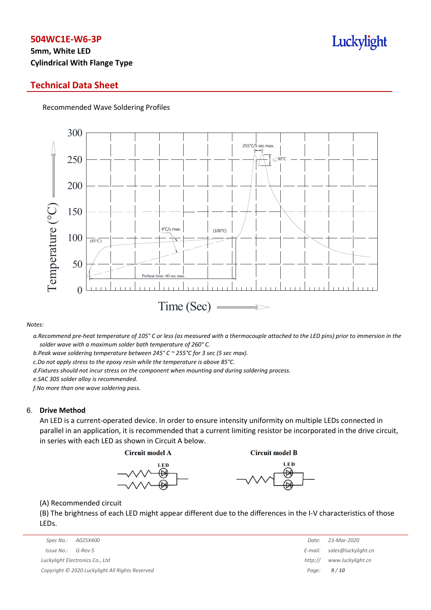## **5mm, White LED Cylindrical With Flange Type**

#### **Technical Data Sheet**

Recommended Wave Soldering Profiles

![](_page_8_Figure_4.jpeg)

#### *Notes:*

a. Recommend pre-heat temperature of 105° C or less (as measured with a thermocouple attached to the LED pins) prior to immersion in the *solder wave with a maximum solder bath temperature of 260° C.*

*b.Peak wave soldering temperature between 245° C ~ 255°C for 3 sec (5 sec max).*

*c.Do not apply stress to the epoxy resin while the temperature is above 85°C.*

*d.Fixtures should not incur stress on the component when mounting and during soldering process.*

*e.SAC 305 solder alloy is recommended.*

*f.No more than one wave soldering pass.*

#### 6. **Drive Method**

An LED is a current-operated device. In order to ensure intensity uniformity on multiple LEDs connected in parallel in an application, it is recommended that a current limiting resistor be incorporated in the drive circuit, in series with each LED as shown in Circuit A below.

**Circuit model A** 

**Circuit model B** 

![](_page_8_Figure_16.jpeg)

![](_page_8_Picture_17.jpeg)

(A) Recommended circuit

(B) The brightness of each LED might appear different due to the differences in the I-V characteristics of those LEDs.

|                                                 | Date:   | 23-Mar-2020                 |
|-------------------------------------------------|---------|-----------------------------|
| Issue No.:<br>G-Rev-5                           |         | E-mail: sales@luckylight.cn |
| Luckylight Electronics Co., Ltd                 | http:// | www.luckylight.cn           |
| Copyright © 2020 Luckylight All Rights Reserved |         | Page: $9/10$                |

| Date:   | 23-Mar-2020         |
|---------|---------------------|
| E-mail: | sales@luckylight.cn |
| http:// | www.luckylight.cn   |
| Page:   | 9/10                |